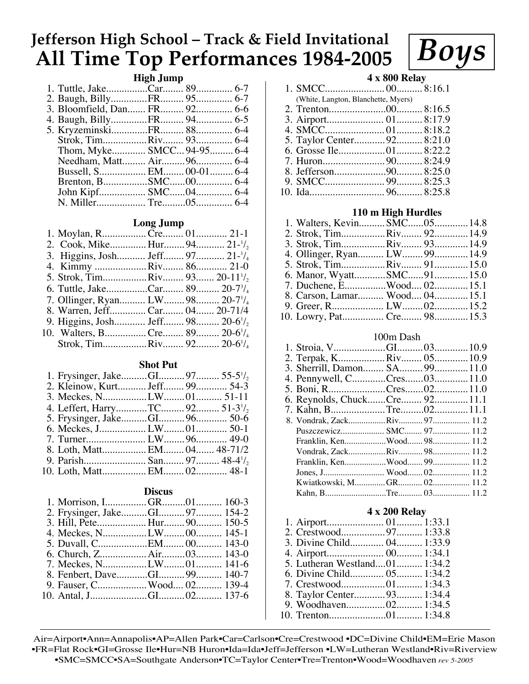# **Jefferson High School – Track & Field Invitational All Time Top Performances 1984-2005**

# **High Jump**

| 2. Baugh, BillyFR 95 6-7     |  |  |
|------------------------------|--|--|
| 3. Bloomfield, Dan FR 92 6-6 |  |  |
| 4. Baugh, BillyFR 94 6-5     |  |  |
|                              |  |  |
| Strok, TimRiv 93 6-4         |  |  |
| Thom, Myke SMCC 94-95 6-4    |  |  |
| Needham, Matt Air 96 6-4     |  |  |
| Bussell, S EM 00-01 6-4      |  |  |
|                              |  |  |
| John Kipf SMC04 6-4          |  |  |
|                              |  |  |
|                              |  |  |

## **Long Jump**

| 1. Moylan, RCre 01 21-1                                   |  |  |
|-----------------------------------------------------------|--|--|
| 2. Cook, Mike Hur 94 21-1/2                               |  |  |
| 3. Higgins, Josh Jeff 97 21 <sup>-1</sup> / <sub>4</sub>  |  |  |
| 4. Kimmy Riv 86 21-0                                      |  |  |
| 5. Strok, TimRiv 93 20-11 <sup>1</sup> / <sub>2</sub>     |  |  |
| 6. Tuttle, JakeCar 89 20-7 <sup>3</sup> / <sub>4</sub>    |  |  |
| 7. Ollinger, Ryan LW 98 20-7 <sup>1</sup> / <sub>4</sub>  |  |  |
| 8. Warren, JeffCar 04 20-71/4                             |  |  |
| 9. Higgins, Josh Jeff 98 20-6 <sup>1</sup> / <sub>2</sub> |  |  |
| 10. Walters, BCre 89 20-6 <sup>1</sup> / <sub>4</sub>     |  |  |
| Strok, TimRiv 92 20-6 <sup>1</sup> / <sub>4</sub>         |  |  |
|                                                           |  |  |

## **Shot Put**

| 2. Kleinow, Kurt Jeff 99 54-3                           |  |  |
|---------------------------------------------------------|--|--|
|                                                         |  |  |
| 4. Leffert, HarryTC 92 51-3 <sup>1</sup> / <sub>2</sub> |  |  |
|                                                         |  |  |
|                                                         |  |  |
|                                                         |  |  |
| 8. Loth, Matt EM 04 48-71/2                             |  |  |
| 9. Parish San 97 48-4 <sup>1</sup> / <sub>2</sub>       |  |  |
|                                                         |  |  |

## **Discus**

| 3. Hill, Pete Hur 90 150-5 |  |  |
|----------------------------|--|--|
|                            |  |  |
|                            |  |  |
|                            |  |  |
|                            |  |  |
|                            |  |  |
|                            |  |  |
|                            |  |  |
|                            |  |  |

## **4 x 800 Relay**

*Boys*

1. SMCC....................... 00.......... 8:16.1

| (White, Langton, Blanchette, Myers) |  |
|-------------------------------------|--|
|                                     |  |
|                                     |  |
|                                     |  |
| 5. Taylor Center92 8:21.0           |  |
|                                     |  |
|                                     |  |
|                                     |  |
|                                     |  |
|                                     |  |
|                                     |  |

## **110 m High Hurdles**

|  | 2. Strok, TimRiv 92 14.9<br>3. Strok, TimRiv 93 14.9<br>4. Ollinger, Ryan LW 99 14.9<br>5. Strok, TimRiv 91 15.0<br>7. Duchene, EWood 02 15.1<br>8. Carson, Lamar Wood 04 15.1 |
|--|--------------------------------------------------------------------------------------------------------------------------------------------------------------------------------|

#### 100m Dash

| 2. Terpak, KRiv 05 10.9       |  |  |
|-------------------------------|--|--|
| 3. Sherrill, Damon SA 99 11.0 |  |  |
|                               |  |  |
| 5. Boni, RCres0211.0          |  |  |
| 6. Reynolds, ChuckCre 92 11.1 |  |  |
| 7. Kahn, BTre0211.1           |  |  |
| 8. Vondrak, ZackRiv 97 11.2   |  |  |
| Puszczewicz SMC 97 11.2       |  |  |
| Franklin, KenWood 98 11.2     |  |  |
| Vondrak, ZackRiv 98 11.2      |  |  |
| Franklin, KenWood 99 11.2     |  |  |
| Jones, J Wood 02 11.2         |  |  |
| Kwiatkowski, MGR 02 11.2      |  |  |
|                               |  |  |
|                               |  |  |

## **4 x 200 Relay**

| 2. Crestwood97 1:33.8         |  |
|-------------------------------|--|
| 3. Divine Child 04 1:33.9     |  |
|                               |  |
| 5. Lutheran Westland01 1:34.2 |  |
| 6. Divine Child 05 1:34.2     |  |
|                               |  |
| 8. Taylor Center93 1:34.4     |  |
| 9. Woodhaven02 1:34.5         |  |
|                               |  |
|                               |  |

Air=Airport•Ann=Annapolis•AP=Allen Park•Car=Carlson•Cre=Crestwood •DC=Divine Child•EM=Erie Mason •FR=Flat Rock•GI=Grosse Ile•Hur=NB Huron•Ida=Ida•Jeff=Jefferson •LW=Lutheran Westland•Riv=Riverview •SMC=SMCC•SA=Southgate Anderson•TC=Taylor Center•Tre=Trenton•Wood=Woodhaven *rev 5-2005*